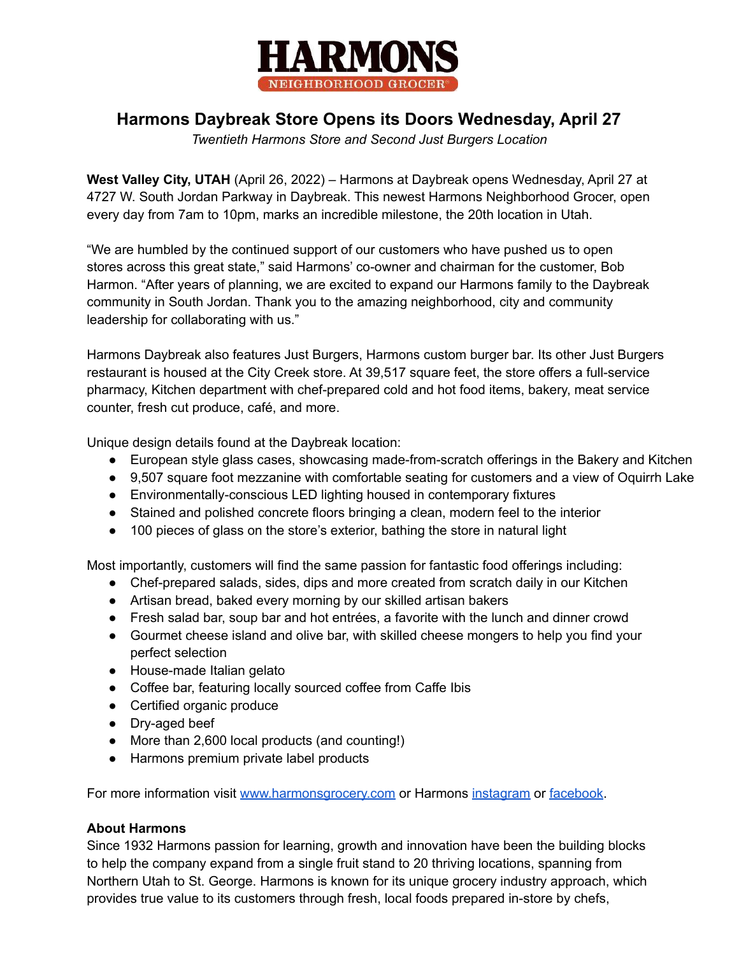

## **Harmons Daybreak Store Opens its Doors Wednesday, April 27**

*Twentieth Harmons Store and Second Just Burgers Location*

**West Valley City, UTAH** (April 26, 2022) – Harmons at Daybreak opens Wednesday, April 27 at 4727 W. South Jordan Parkway in Daybreak. This newest Harmons Neighborhood Grocer, open every day from 7am to 10pm, marks an incredible milestone, the 20th location in Utah.

"We are humbled by the continued support of our customers who have pushed us to open stores across this great state," said Harmons' co-owner and chairman for the customer, Bob Harmon. "After years of planning, we are excited to expand our Harmons family to the Daybreak community in South Jordan. Thank you to the amazing neighborhood, city and community leadership for collaborating with us."

Harmons Daybreak also features Just Burgers, Harmons custom burger bar. Its other Just Burgers restaurant is housed at the City Creek store. At 39,517 square feet, the store offers a full-service pharmacy, Kitchen department with chef-prepared cold and hot food items, bakery, meat service counter, fresh cut produce, café, and more.

Unique design details found at the Daybreak location:

- European style glass cases, showcasing made-from-scratch offerings in the Bakery and Kitchen
- 9,507 square foot mezzanine with comfortable seating for customers and a view of Oquirrh Lake
- Environmentally-conscious LED lighting housed in contemporary fixtures
- Stained and polished concrete floors bringing a clean, modern feel to the interior
- 100 pieces of glass on the store's exterior, bathing the store in natural light

Most importantly, customers will find the same passion for fantastic food offerings including:

- Chef-prepared salads, sides, dips and more created from scratch daily in our Kitchen
- Artisan bread, baked every morning by our skilled artisan bakers
- Fresh salad bar, soup bar and hot entrées, a favorite with the lunch and dinner crowd
- Gourmet cheese island and olive bar, with skilled cheese mongers to help you find your perfect selection
- House-made Italian gelato
- Coffee bar, featuring locally sourced coffee from Caffe Ibis
- Certified organic produce
- Dry-aged beef
- More than 2,600 local products (and counting!)
- Harmons premium private label products

For more information visit [www.harmonsgrocery.com](http://www.harmonsgrocery.com) or Harmons [instagram](https://www.instagram.com/harmonsgrocery/) or [facebook](https://www.facebook.com/HarmonsGroceryStores/).

## **About Harmons**

Since 1932 Harmons passion for learning, growth and innovation have been the building blocks to help the company expand from a single fruit stand to 20 thriving locations, spanning from Northern Utah to St. George. Harmons is known for its unique grocery industry approach, which provides true value to its customers through fresh, local foods prepared in-store by chefs,